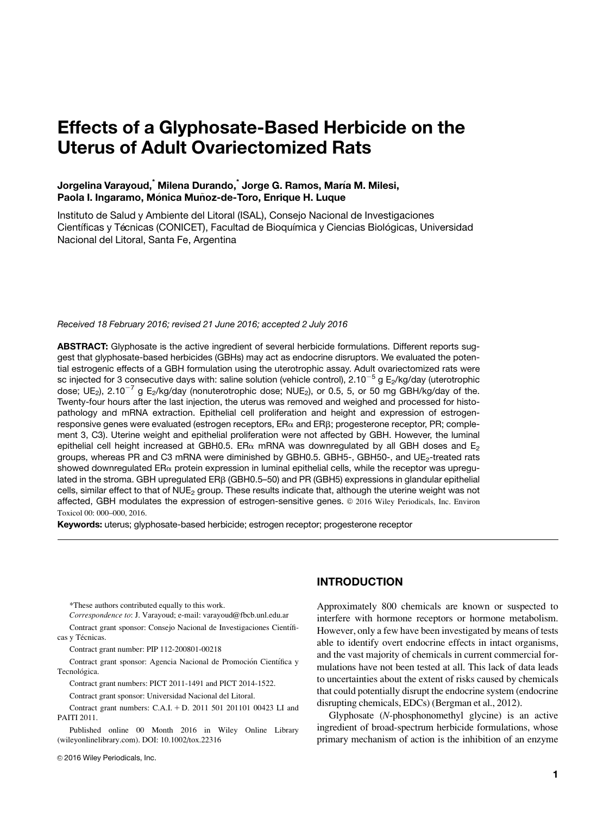# Effects of a Glyphosate-Based Herbicide on the Uterus of Adult Ovariectomized Rats

# Jorgelina Varayoud,<sup>\*</sup> Milena Durando,<sup>\*</sup> Jorge G. Ramos, María M. Milesi, Paola I. Ingaramo, Mónica Muñoz-de-Toro, Enrique H. Luque

Instituto de Salud y Ambiente del Litoral (ISAL), Consejo Nacional de Investigaciones Científicas y Técnicas (CONICET), Facultad de Bioquímica y Ciencias Biológicas, Universidad Nacional del Litoral, Santa Fe, Argentina

Received 18 February 2016; revised 21 June 2016; accepted 2 July 2016

ABSTRACT: Glyphosate is the active ingredient of several herbicide formulations. Different reports suggest that glyphosate-based herbicides (GBHs) may act as endocrine disruptors. We evaluated the potential estrogenic effects of a GBH formulation using the uterotrophic assay. Adult ovariectomized rats were sc injected for 3 consecutive days with: saline solution (vehicle control),  $2.10^{-5}$  g E<sub>2</sub>/kg/day (uterotrophic dose;  $UE<sub>2</sub>$ ), 2.10<sup>-7</sup> g E<sub>2</sub>/kg/day (nonuterotrophic dose; NUE<sub>2</sub>), or 0.5, 5, or 50 mg GBH/kg/day of the. Twenty-four hours after the last injection, the uterus was removed and weighed and processed for histopathology and mRNA extraction. Epithelial cell proliferation and height and expression of estrogenresponsive genes were evaluated (estrogen receptors,  $ER\alpha$  and  $ER\beta$ ; progesterone receptor, PR; complement 3, C3). Uterine weight and epithelial proliferation were not affected by GBH. However, the luminal epithelial cell height increased at GBH0.5. ER $\alpha$  mRNA was downregulated by all GBH doses and E<sub>2</sub> groups, whereas PR and C3 mRNA were diminished by GBH0.5. GBH5-, GBH50-, and UE<sub>2</sub>-treated rats showed downregulated  $ER_{\alpha}$  protein expression in luminal epithelial cells, while the receptor was upregulated in the stroma. GBH upregulated ERb (GBH0.5–50) and PR (GBH5) expressions in glandular epithelial cells, similar effect to that of NUE<sub>2</sub> group. These results indicate that, although the uterine weight was not affected, GBH modulates the expression of estrogen-sensitive genes. © 2016 Wiley Periodicals, Inc. Environ Toxicol 00: 000–000, 2016.

Keywords: uterus; glyphosate-based herbicide; estrogen receptor; progesterone receptor

\*These authors contributed equally to this work.

Correspondence to: J. Varayoud; e-mail: varayoud@fbcb.unl.edu.ar

Contract grant sponsor: Consejo Nacional de Investigaciones Científicas y Técnicas.

Contract grant number: PIP 112-200801-00218

Contract grant sponsor: Agencia Nacional de Promoción Científica y Tecnológica.

Contract grant numbers: PICT 2011-1491 and PICT 2014-1522.

Contract grant sponsor: Universidad Nacional del Litoral.

Contract grant numbers: C.A.I. + D. 2011 501 201101 00423 LI and PAITI 2011.

Published online 00 Month 2016 in Wiley Online Library (wileyonlinelibrary.com). DOI: 10.1002/tox.22316

© 2016 Wiley Periodicals, Inc.

# INTRODUCTION

Approximately 800 chemicals are known or suspected to interfere with hormone receptors or hormone metabolism. However, only a few have been investigated by means of tests able to identify overt endocrine effects in intact organisms, and the vast majority of chemicals in current commercial formulations have not been tested at all. This lack of data leads to uncertainties about the extent of risks caused by chemicals that could potentially disrupt the endocrine system (endocrine disrupting chemicals, EDCs) (Bergman et al., 2012).

Glyphosate (N-phosphonomethyl glycine) is an active ingredient of broad-spectrum herbicide formulations, whose primary mechanism of action is the inhibition of an enzyme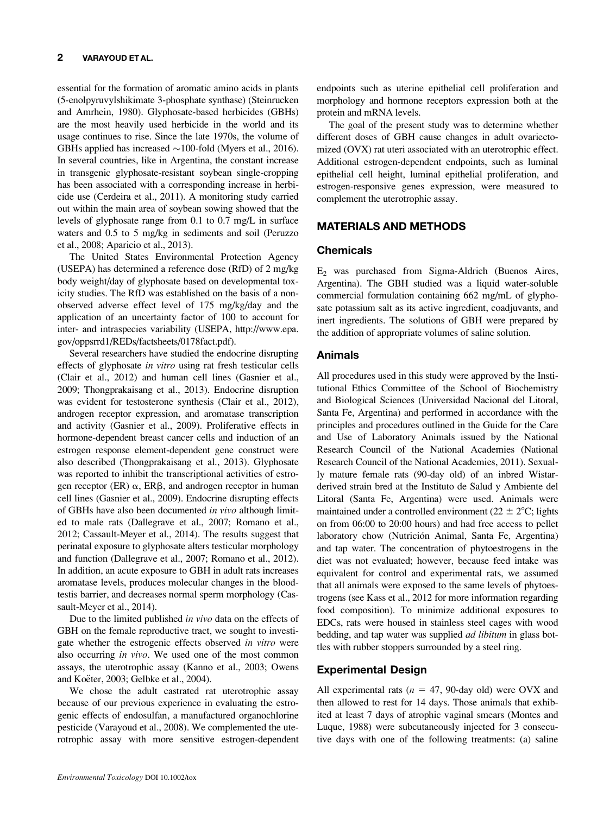#### 2 VARAYOUD ET AL.

essential for the formation of aromatic amino acids in plants (5-enolpyruvylshikimate 3-phosphate synthase) (Steinrucken and Amrhein, 1980). Glyphosate-based herbicides (GBHs) are the most heavily used herbicide in the world and its usage continues to rise. Since the late 1970s, the volume of GBHs applied has increased  $\sim$ 100-fold (Myers et al., 2016). In several countries, like in Argentina, the constant increase in transgenic glyphosate-resistant soybean single-cropping has been associated with a corresponding increase in herbicide use (Cerdeira et al., 2011). A monitoring study carried out within the main area of soybean sowing showed that the levels of glyphosate range from 0.1 to 0.7 mg/L in surface waters and 0.5 to 5 mg/kg in sediments and soil (Peruzzo et al., 2008; Aparicio et al., 2013).

The United States Environmental Protection Agency (USEPA) has determined a reference dose (RfD) of 2 mg/kg body weight/day of glyphosate based on developmental toxicity studies. The RfD was established on the basis of a nonobserved adverse effect level of 175 mg/kg/day and the application of an uncertainty factor of 100 to account for inter- and intraspecies variability (USEPA, [http://www.epa.](http://www.epa.gov/oppsrrd1/REDs/factsheets/0178fact.pdf) [gov/oppsrrd1/REDs/factsheets/0178fact.pdf](http://www.epa.gov/oppsrrd1/REDs/factsheets/0178fact.pdf)).

Several researchers have studied the endocrine disrupting effects of glyphosate in vitro using rat fresh testicular cells (Clair et al., 2012) and human cell lines (Gasnier et al., 2009; Thongprakaisang et al., 2013). Endocrine disruption was evident for testosterone synthesis (Clair et al., 2012), androgen receptor expression, and aromatase transcription and activity (Gasnier et al., 2009). Proliferative effects in hormone-dependent breast cancer cells and induction of an estrogen response element-dependent gene construct were also described (Thongprakaisang et al., 2013). Glyphosate was reported to inhibit the transcriptional activities of estrogen receptor (ER)  $\alpha$ , ER $\beta$ , and androgen receptor in human cell lines (Gasnier et al., 2009). Endocrine disrupting effects of GBHs have also been documented in vivo although limited to male rats (Dallegrave et al., 2007; Romano et al., 2012; Cassault-Meyer et al., 2014). The results suggest that perinatal exposure to glyphosate alters testicular morphology and function (Dallegrave et al., 2007; Romano et al., 2012). In addition, an acute exposure to GBH in adult rats increases aromatase levels, produces molecular changes in the bloodtestis barrier, and decreases normal sperm morphology (Cassault-Meyer et al., 2014).

Due to the limited published in vivo data on the effects of GBH on the female reproductive tract, we sought to investigate whether the estrogenic effects observed in vitro were also occurring in vivo. We used one of the most common assays, the uterotrophic assay (Kanno et al., 2003; Owens and Koëter, 2003; Gelbke et al., 2004).

We chose the adult castrated rat uterotrophic assay because of our previous experience in evaluating the estrogenic effects of endosulfan, a manufactured organochlorine pesticide (Varayoud et al., 2008). We complemented the uterotrophic assay with more sensitive estrogen-dependent endpoints such as uterine epithelial cell proliferation and morphology and hormone receptors expression both at the protein and mRNA levels.

The goal of the present study was to determine whether different doses of GBH cause changes in adult ovariectomized (OVX) rat uteri associated with an uterotrophic effect. Additional estrogen-dependent endpoints, such as luminal epithelial cell height, luminal epithelial proliferation, and estrogen-responsive genes expression, were measured to complement the uterotrophic assay.

# MATERIALS AND METHODS

# **Chemicals**

E2 was purchased from Sigma-Aldrich (Buenos Aires, Argentina). The GBH studied was a liquid water-soluble commercial formulation containing 662 mg/mL of glyphosate potassium salt as its active ingredient, coadjuvants, and inert ingredients. The solutions of GBH were prepared by the addition of appropriate volumes of saline solution.

# Animals

All procedures used in this study were approved by the Institutional Ethics Committee of the School of Biochemistry and Biological Sciences (Universidad Nacional del Litoral, Santa Fe, Argentina) and performed in accordance with the principles and procedures outlined in the Guide for the Care and Use of Laboratory Animals issued by the National Research Council of the National Academies (National Research Council of the National Academies, 2011). Sexually mature female rats (90-day old) of an inbred Wistarderived strain bred at the Instituto de Salud y Ambiente del Litoral (Santa Fe, Argentina) were used. Animals were maintained under a controlled environment ( $22 \pm 2$ °C; lights on from 06:00 to 20:00 hours) and had free access to pellet laboratory chow (Nutrición Animal, Santa Fe, Argentina) and tap water. The concentration of phytoestrogens in the diet was not evaluated; however, because feed intake was equivalent for control and experimental rats, we assumed that all animals were exposed to the same levels of phytoestrogens (see Kass et al., 2012 for more information regarding food composition). To minimize additional exposures to EDCs, rats were housed in stainless steel cages with wood bedding, and tap water was supplied *ad libitum* in glass bottles with rubber stoppers surrounded by a steel ring.

# Experimental Design

All experimental rats ( $n = 47$ , 90-day old) were OVX and then allowed to rest for 14 days. Those animals that exhibited at least 7 days of atrophic vaginal smears (Montes and Luque, 1988) were subcutaneously injected for 3 consecutive days with one of the following treatments: (a) saline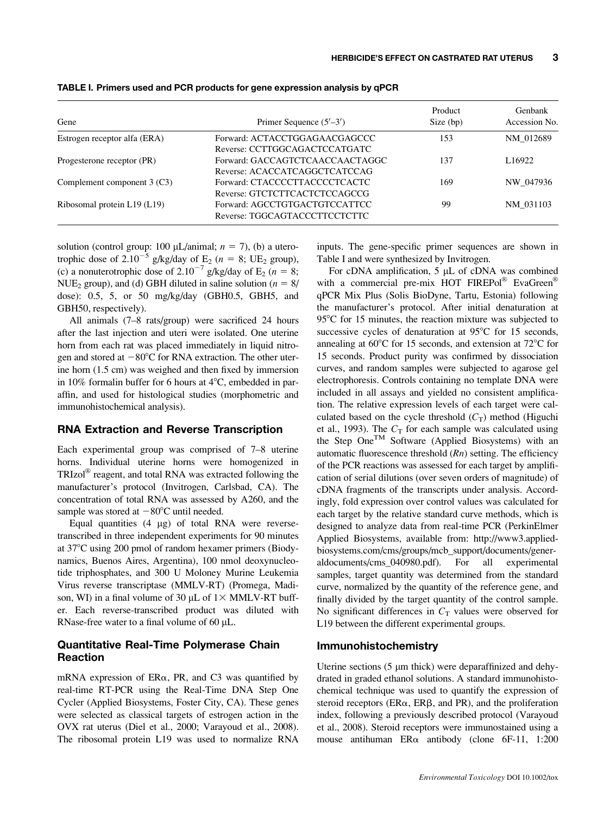| Gene                         | Primer Sequence $(5'–3')$                                        | Product<br>Size (bp) | Genbank<br>Accession No.<br>NM 012689 |
|------------------------------|------------------------------------------------------------------|----------------------|---------------------------------------|
| Estrogen receptor alfa (ERA) | Forward: ACTACCTGGAGAACGAGCCC<br>Reverse: CCTTGGCAGACTCCATGATC   | 153                  |                                       |
| Progesterone receptor (PR)   | Forward: GACCAGTCTCAACCAACTAGGC<br>Reverse: ACACCATCAGGCTCATCCAG | 137                  | L <sub>16922</sub>                    |
| Complement component 3 (C3)  | Forward: CTACCCCTTACCCCTCACTC<br>Reverse: GTCTCTTCACTCTCCAGCCG   | 169                  | NW 047936                             |
| Ribosomal protein L19 (L19)  | Forward: AGCCTGTGACTGTCCATTCC<br>Reverse: TGGCAGTACCCTTCCTCTTC   | 99                   | NM 031103                             |

TABLE I. Primers used and PCR products for gene expression analysis by qPCR

solution (control group: 100  $\mu$ L/animal;  $n = 7$ ), (b) a uterotrophic dose of 2.10<sup>-5</sup> g/kg/day of E<sub>2</sub> ( $n = 8$ ; UE<sub>2</sub> group), (c) a nonuterotrophic dose of 2.10<sup>-7</sup> g/kg/day of E<sub>2</sub> (n = 8; NUE<sub>2</sub> group), and (d) GBH diluted in saline solution ( $n = 8/$ dose): 0.5, 5, or 50 mg/kg/day (GBH0.5, GBH5, and GBH50, respectively).

All animals (7–8 rats/group) were sacrificed 24 hours after the last injection and uteri were isolated. One uterine horn from each rat was placed immediately in liquid nitrogen and stored at  $-80^{\circ}$ C for RNA extraction. The other uterine horn (1.5 cm) was weighed and then fixed by immersion in 10% formalin buffer for 6 hours at  $4^{\circ}$ C, embedded in paraffin, and used for histological studies (morphometric and immunohistochemical analysis).

#### RNA Extraction and Reverse Transcription

Each experimental group was comprised of 7–8 uterine horns. Individual uterine horns were homogenized in  $TRIzol^{\circledR}$  reagent, and total RNA was extracted following the manufacturer's protocol (Invitrogen, Carlsbad, CA). The concentration of total RNA was assessed by A260, and the sample was stored at  $-80^{\circ}$ C until needed.

Equal quantities  $(4 \mu g)$  of total RNA were reversetranscribed in three independent experiments for 90 minutes at 37°C using 200 pmol of random hexamer primers (Biodynamics, Buenos Aires, Argentina), 100 nmol deoxynucleotide triphosphates, and 300 U Moloney Murine Leukemia Virus reverse transcriptase (MMLV-RT) (Promega, Madison, WI) in a final volume of 30  $\mu$ L of 1× MMLV-RT buffer. Each reverse-transcribed product was diluted with RNase-free water to a final volume of 60  $\mu$ L.

#### Quantitative Real-Time Polymerase Chain Reaction

mRNA expression of  $ER\alpha$ , PR, and C3 was quantified by real-time RT-PCR using the Real-Time DNA Step One Cycler (Applied Biosystems, Foster City, CA). These genes were selected as classical targets of estrogen action in the OVX rat uterus (Diel et al., 2000; Varayoud et al., 2008). The ribosomal protein L19 was used to normalize RNA inputs. The gene-specific primer sequences are shown in Table I and were synthesized by Invitrogen.

For cDNA amplification,  $5 \mu L$  of cDNA was combined with a commercial pre-mix HOT FIREPol® EvaGreen® qPCR Mix Plus (Solis BioDyne, Tartu, Estonia) following the manufacturer's protocol. After initial denaturation at  $95^{\circ}$ C for 15 minutes, the reaction mixture was subjected to successive cycles of denaturation at  $95^{\circ}$ C for 15 seconds, annealing at  $60^{\circ}$ C for 15 seconds, and extension at  $72^{\circ}$ C for 15 seconds. Product purity was confirmed by dissociation curves, and random samples were subjected to agarose gel electrophoresis. Controls containing no template DNA were included in all assays and yielded no consistent amplification. The relative expression levels of each target were calculated based on the cycle threshold  $(C_T)$  method (Higuchi et al., 1993). The  $C_T$  for each sample was calculated using the Step One<sup>TM</sup> Software (Applied Biosystems) with an automatic fluorescence threshold  $(Rn)$  setting. The efficiency of the PCR reactions was assessed for each target by amplification of serial dilutions (over seven orders of magnitude) of cDNA fragments of the transcripts under analysis. Accordingly, fold expression over control values was calculated for each target by the relative standard curve methods, which is designed to analyze data from real-time PCR (PerkinElmer Applied Biosystems, available from: [http://www3.applied](http://www3.appliedbiosystems.com/cms/groups/mcb_support/documents/generaldocuments/cms_)[biosystems.com/cms/groups/mcb\\_support/documents/gener](http://www3.appliedbiosystems.com/cms/groups/mcb_support/documents/generaldocuments/cms_)[aldocuments/cms\\_](http://www3.appliedbiosystems.com/cms/groups/mcb_support/documents/generaldocuments/cms_)0409[80.pdf](http://80.pdf)). For all experimental samples, target quantity was determined from the standard curve, normalized by the quantity of the reference gene, and finally divided by the target quantity of the control sample. No significant differences in  $C_T$  values were observed for L19 between the different experimental groups.

#### Immunohistochemistry

Uterine sections  $(5 \mu m)$  thick) were deparaffinized and dehydrated in graded ethanol solutions. A standard immunohistochemical technique was used to quantify the expression of steroid receptors ( $ER\alpha$ ,  $ER\beta$ , and PR), and the proliferation index, following a previously described protocol (Varayoud et al., 2008). Steroid receptors were immunostained using a mouse antihuman  $ER\alpha$  antibody (clone 6F-11, 1:200)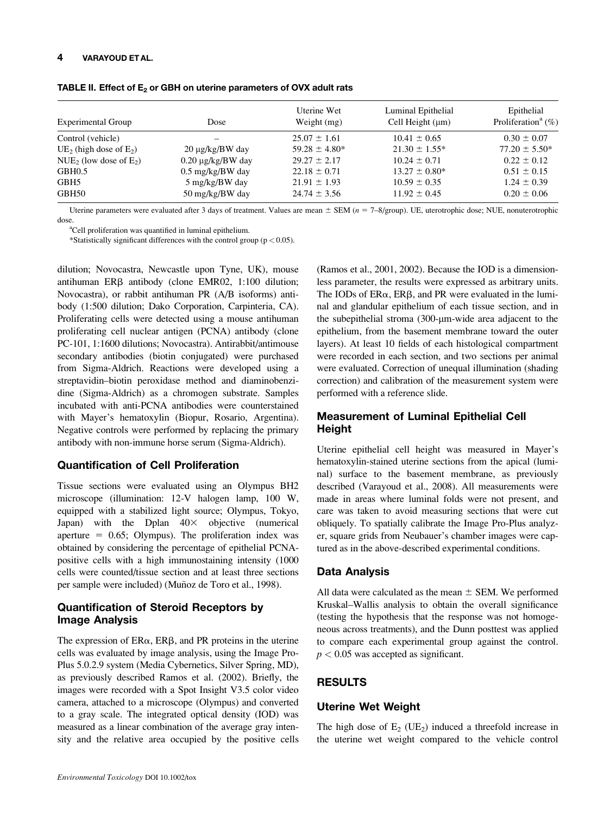#### 4 VARAYOUD ET AL.

| <b>Experimental Group</b>             | Dose                       | Uterine Wet<br>Weight (mg) | Luminal Epithelial<br>Cell Height $(\mu m)$ | Epithelial<br>Proliferation <sup>a</sup> $(\%)$ |
|---------------------------------------|----------------------------|----------------------------|---------------------------------------------|-------------------------------------------------|
| Control (vehicle)                     |                            | $25.07 \pm 1.61$           | $10.41 \pm 0.65$                            | $0.30 \pm 0.07$                                 |
| UE <sub>2</sub> (high dose of $E_2$ ) | $20 \mu$ g/kg/BW day       | $59.28 \pm 4.80*$          | $21.30 \pm 1.55^*$                          | $77.20 \pm 5.50^*$                              |
| NUE <sub>2</sub> (low dose of $E_2$ ) | $0.20 \mu g/kg/BW$ day     | $29.27 \pm 2.17$           | $10.24 \pm 0.71$                            | $0.22 \pm 0.12$                                 |
| GBH0.5                                | $0.5 \text{ mg/kg/BW}$ day | $22.18 \pm 0.71$           | $13.27 \pm 0.80^*$                          | $0.51 \pm 0.15$                                 |
| GBH5                                  | 5 mg/kg/BW day             | $21.91 \pm 1.93$           | $10.59 \pm 0.35$                            | $1.24 \pm 0.39$                                 |
| GBH50                                 | 50 mg/kg/BW day            | $24.74 \pm 3.56$           | $11.92 \pm 0.45$                            | $0.20 \pm 0.06$                                 |

TABLE II. Effect of  $E_2$  or GBH on uterine parameters of OVX adult rats

Uterine parameters were evaluated after 3 days of treatment. Values are mean  $\pm$  SEM (n = 7–8/group). UE, uterotrophic dose; NUE, nonuterotrophic dose.

<sup>a</sup>Cell proliferation was quantified in luminal epithelium.

\*Statistically significant differences with the control group ( $p < 0.05$ ).

dilution; Novocastra, Newcastle upon Tyne, UK), mouse antihuman ERB antibody (clone EMR02, 1:100 dilution; Novocastra), or rabbit antihuman PR (A/B isoforms) antibody (1:500 dilution; Dako Corporation, Carpinteria, CA). Proliferating cells were detected using a mouse antihuman proliferating cell nuclear antigen (PCNA) antibody (clone PC-101, 1:1600 dilutions; Novocastra). Antirabbit/antimouse secondary antibodies (biotin conjugated) were purchased from Sigma-Aldrich. Reactions were developed using a streptavidin–biotin peroxidase method and diaminobenzidine (Sigma-Aldrich) as a chromogen substrate. Samples incubated with anti-PCNA antibodies were counterstained with Mayer's hematoxylin (Biopur, Rosario, Argentina). Negative controls were performed by replacing the primary antibody with non-immune horse serum (Sigma-Aldrich).

## Quantification of Cell Proliferation

Tissue sections were evaluated using an Olympus BH2 microscope (illumination: 12-V halogen lamp, 100 W, equipped with a stabilized light source; Olympus, Tokyo, Japan) with the Dplan  $40\times$  objective (numerical aperture  $= 0.65$ ; Olympus). The proliferation index was obtained by considering the percentage of epithelial PCNApositive cells with a high immunostaining intensity (1000 cells were counted/tissue section and at least three sections per sample were included) (Muñoz de Toro et al., 1998).

# Quantification of Steroid Receptors by Image Analysis

The expression of  $ER\alpha$ ,  $ER\beta$ , and PR proteins in the uterine cells was evaluated by image analysis, using the Image Pro-Plus 5.0.2.9 system (Media Cybernetics, Silver Spring, MD), as previously described Ramos et al. (2002). Briefly, the images were recorded with a Spot Insight V3.5 color video camera, attached to a microscope (Olympus) and converted to a gray scale. The integrated optical density (IOD) was measured as a linear combination of the average gray intensity and the relative area occupied by the positive cells (Ramos et al., 2001, 2002). Because the IOD is a dimensionless parameter, the results were expressed as arbitrary units. The IODs of  $ER\alpha$ ,  $ER\beta$ , and PR were evaluated in the luminal and glandular epithelium of each tissue section, and in the subepithelial stroma  $(300 \text{-} \mu \text{m} \cdot \text{wide})$  area adjacent to the epithelium, from the basement membrane toward the outer layers). At least 10 fields of each histological compartment were recorded in each section, and two sections per animal were evaluated. Correction of unequal illumination (shading correction) and calibration of the measurement system were performed with a reference slide.

# Measurement of Luminal Epithelial Cell Height

Uterine epithelial cell height was measured in Mayer's hematoxylin-stained uterine sections from the apical (luminal) surface to the basement membrane, as previously described (Varayoud et al., 2008). All measurements were made in areas where luminal folds were not present, and care was taken to avoid measuring sections that were cut obliquely. To spatially calibrate the Image Pro-Plus analyzer, square grids from Neubauer's chamber images were captured as in the above-described experimental conditions.

## Data Analysis

All data were calculated as the mean  $\pm$  SEM. We performed Kruskal–Wallis analysis to obtain the overall significance (testing the hypothesis that the response was not homogeneous across treatments), and the Dunn posttest was applied to compare each experimental group against the control.  $p < 0.05$  was accepted as significant.

# RESULTS

## Uterine Wet Weight

The high dose of  $E_2$  (UE<sub>2</sub>) induced a threefold increase in the uterine wet weight compared to the vehicle control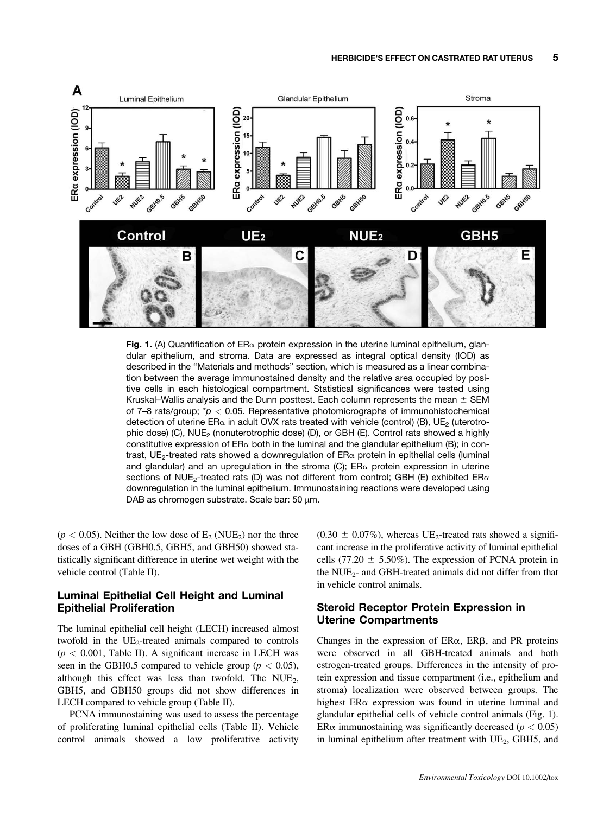

Fig. 1. (A) Quantification of  $ER_{\alpha}$  protein expression in the uterine luminal epithelium, glandular epithelium, and stroma. Data are expressed as integral optical density (IOD) as described in the "Materials and methods" section, which is measured as a linear combination between the average immunostained density and the relative area occupied by positive cells in each histological compartment. Statistical significances were tested using Kruskal–Wallis analysis and the Dunn posttest. Each column represents the mean  $\pm$  SEM of 7–8 rats/group;  $p > 0.05$ . Representative photomicrographs of immunohistochemical detection of uterine ER $\alpha$  in adult OVX rats treated with vehicle (control) (B), UE<sub>2</sub> (uterotrophic dose) (C), NUE<sub>2</sub> (nonuterotrophic dose) (D), or GBH (E). Control rats showed a highly constitutive expression of  $ER_{\alpha}$  both in the luminal and the glandular epithelium (B); in contrast, UE<sub>2</sub>-treated rats showed a downregulation of  $ER_{\alpha}$  protein in epithelial cells (luminal and glandular) and an upregulation in the stroma (C);  $ER\alpha$  protein expression in uterine sections of NUE<sub>2</sub>-treated rats (D) was not different from control; GBH (E) exhibited ER $\alpha$ downregulation in the luminal epithelium. Immunostaining reactions were developed using DAB as chromogen substrate. Scale bar:  $50 \mu m$ .

 $(p < 0.05)$ . Neither the low dose of  $E_2$  (NUE<sub>2</sub>) nor the three doses of a GBH (GBH0.5, GBH5, and GBH50) showed statistically significant difference in uterine wet weight with the vehicle control (Table II).

# Luminal Epithelial Cell Height and Luminal Epithelial Proliferation

The luminal epithelial cell height (LECH) increased almost twofold in the  $UE<sub>2</sub>$ -treated animals compared to controls  $(p < 0.001$ , Table II). A significant increase in LECH was seen in the GBH0.5 compared to vehicle group ( $p < 0.05$ ), although this effect was less than twofold. The  $NUE<sub>2</sub>$ , GBH5, and GBH50 groups did not show differences in LECH compared to vehicle group (Table II).

PCNA immunostaining was used to assess the percentage of proliferating luminal epithelial cells (Table II). Vehicle control animals showed a low proliferative activity  $(0.30 \pm 0.07\%)$ , whereas UE<sub>2</sub>-treated rats showed a significant increase in the proliferative activity of luminal epithelial cells (77.20  $\pm$  5.50%). The expression of PCNA protein in the  $NUE_{2}$ - and GBH-treated animals did not differ from that in vehicle control animals.

## Steroid Receptor Protein Expression in Uterine Compartments

Changes in the expression of  $ER\alpha$ ,  $ER\beta$ , and PR proteins were observed in all GBH-treated animals and both estrogen-treated groups. Differences in the intensity of protein expression and tissue compartment (i.e., epithelium and stroma) localization were observed between groups. The highest  $ER\alpha$  expression was found in uterine luminal and glandular epithelial cells of vehicle control animals (Fig. 1). ER $\alpha$  immunostaining was significantly decreased ( $p < 0.05$ ) in luminal epithelium after treatment with  $UE<sub>2</sub>$ , GBH5, and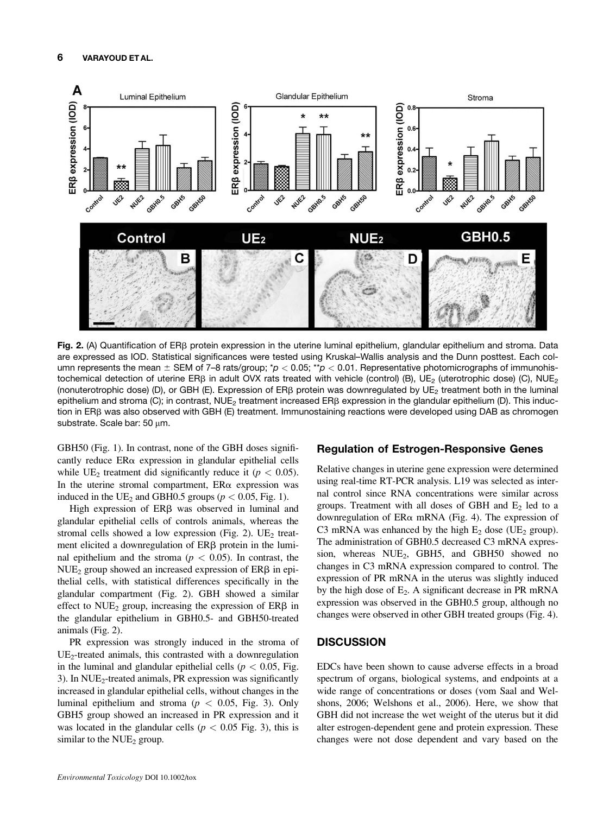

Fig. 2. (A) Quantification of ER $\beta$  protein expression in the uterine luminal epithelium, glandular epithelium and stroma. Data are expressed as IOD. Statistical significances were tested using Kruskal–Wallis analysis and the Dunn posttest. Each column represents the mean  $\pm$  SEM of 7–8 rats/group; \*p < 0.05; \*\*p < 0.01. Representative photomicrographs of immunohistochemical detection of uterine ERB in adult OVX rats treated with vehicle (control) (B), UE<sub>2</sub> (uterotrophic dose) (C), NUE<sub>2</sub> (nonuterotrophic dose) (D), or GBH (E). Expression of ER $\beta$  protein was downregulated by UE<sub>2</sub> treatment both in the luminal epithelium and stroma (C); in contrast,  $NUE<sub>2</sub>$  treatment increased ER $\beta$  expression in the glandular epithelium (D). This induction in ERB was also observed with GBH (E) treatment. Immunostaining reactions were developed using DAB as chromogen substrate. Scale bar:  $50 \mu m$ .

GBH50 (Fig. 1). In contrast, none of the GBH doses significantly reduce  $ER\alpha$  expression in glandular epithelial cells while UE<sub>2</sub> treatment did significantly reduce it ( $p < 0.05$ ). In the uterine stromal compartment,  $ER\alpha$  expression was induced in the UE<sub>2</sub> and GBH0.5 groups ( $p < 0.05$ , Fig. 1).

High expression of  $ER\beta$  was observed in luminal and glandular epithelial cells of controls animals, whereas the stromal cells showed a low expression (Fig. 2).  $UE<sub>2</sub>$  treatment elicited a downregulation of  $ER\beta$  protein in the luminal epithelium and the stroma ( $p < 0.05$ ). In contrast, the  $NUE<sub>2</sub>$  group showed an increased expression of  $ER\beta$  in epithelial cells, with statistical differences specifically in the glandular compartment (Fig. 2). GBH showed a similar effect to  $NUE<sub>2</sub>$  group, increasing the expression of  $ER\beta$  in the glandular epithelium in GBH0.5- and GBH50-treated animals (Fig. 2).

PR expression was strongly induced in the stroma of  $UE<sub>2</sub>$ -treated animals, this contrasted with a downregulation in the luminal and glandular epithelial cells ( $p < 0.05$ , Fig. 3). In  $NUE<sub>2</sub>$ -treated animals, PR expression was significantly increased in glandular epithelial cells, without changes in the luminal epithelium and stroma ( $p < 0.05$ , Fig. 3). Only GBH5 group showed an increased in PR expression and it was located in the glandular cells ( $p < 0.05$  Fig. 3), this is similar to the  $NUE<sub>2</sub>$  group.

#### Regulation of Estrogen-Responsive Genes

Relative changes in uterine gene expression were determined using real-time RT-PCR analysis. L19 was selected as internal control since RNA concentrations were similar across groups. Treatment with all doses of GBH and  $E_2$  led to a downregulation of  $ER\alpha$  mRNA (Fig. 4). The expression of C3 mRNA was enhanced by the high  $E_2$  dose (UE<sub>2</sub> group). The administration of GBH0.5 decreased C3 mRNA expression, whereas  $NUE<sub>2</sub>$ , GBH5, and GBH50 showed no changes in C3 mRNA expression compared to control. The expression of PR mRNA in the uterus was slightly induced by the high dose of  $E_2$ . A significant decrease in PR mRNA expression was observed in the GBH0.5 group, although no changes were observed in other GBH treated groups (Fig. 4).

### **DISCUSSION**

EDCs have been shown to cause adverse effects in a broad spectrum of organs, biological systems, and endpoints at a wide range of concentrations or doses (vom Saal and Welshons, 2006; Welshons et al., 2006). Here, we show that GBH did not increase the wet weight of the uterus but it did alter estrogen-dependent gene and protein expression. These changes were not dose dependent and vary based on the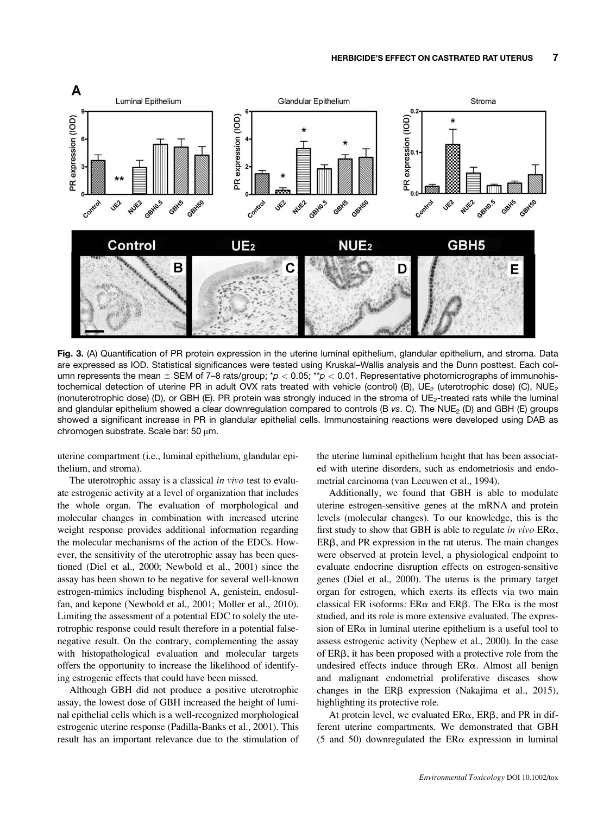

Fig. 3. (A) Quantification of PR protein expression in the uterine luminal epithelium, glandular epithelium, and stroma. Data are expressed as IOD. Statistical significances were tested using Kruskal–Wallis analysis and the Dunn posttest. Each column represents the mean  $\pm$  SEM of 7–8 rats/group; \*p < 0.05; \*\*p < 0.01. Representative photomicrographs of immunohistochemical detection of uterine PR in adult OVX rats treated with vehicle (control) (B),  $UE_2$  (uterotrophic dose) (C),  $NUE_2$ (nonuterotrophic dose) (D), or GBH (E). PR protein was strongly induced in the stroma of UE2-treated rats while the luminal and glandular epithelium showed a clear downregulation compared to controls (B vs. C). The NUE<sub>2</sub> (D) and GBH (E) groups showed a significant increase in PR in glandular epithelial cells. Immunostaining reactions were developed using DAB as chromogen substrate. Scale bar: 50  $\mu$ m.

uterine compartment (i.e., luminal epithelium, glandular epithelium, and stroma).

The uterotrophic assay is a classical in vivo test to evaluate estrogenic activity at a level of organization that includes the whole organ. The evaluation of morphological and molecular changes in combination with increased uterine weight response provides additional information regarding the molecular mechanisms of the action of the EDCs. However, the sensitivity of the uterotrophic assay has been questioned (Diel et al., 2000; Newbold et al., 2001) since the assay has been shown to be negative for several well-known estrogen-mimics including bisphenol A, genistein, endosulfan, and kepone (Newbold et al., 2001; Moller et al., 2010). Limiting the assessment of a potential EDC to solely the uterotrophic response could result therefore in a potential falsenegative result. On the contrary, complementing the assay with histopathological evaluation and molecular targets offers the opportunity to increase the likelihood of identifying estrogenic effects that could have been missed.

Although GBH did not produce a positive uterotrophic assay, the lowest dose of GBH increased the height of luminal epithelial cells which is a well-recognized morphological estrogenic uterine response (Padilla-Banks et al., 2001). This result has an important relevance due to the stimulation of the uterine luminal epithelium height that has been associated with uterine disorders, such as endometriosis and endometrial carcinoma (van Leeuwen et al., 1994).

Additionally, we found that GBH is able to modulate uterine estrogen-sensitive genes at the mRNA and protein levels (molecular changes). To our knowledge, this is the first study to show that GBH is able to regulate in vivo  $ER\alpha$ ,  $ER\beta$ , and PR expression in the rat uterus. The main changes were observed at protein level, a physiological endpoint to evaluate endocrine disruption effects on estrogen-sensitive genes (Diel et al., 2000). The uterus is the primary target organ for estrogen, which exerts its effects via two main classical ER isoforms:  $ER\alpha$  and  $ER\beta$ . The  $ER\alpha$  is the most studied, and its role is more extensive evaluated. The expression of  $ER\alpha$  in luminal uterine epithelium is a useful tool to assess estrogenic activity (Nephew et al., 2000). In the case of  $ER\beta$ , it has been proposed with a protective role from the undesired effects induce through  $ER\alpha$ . Almost all benign and malignant endometrial proliferative diseases show changes in the  $ER\beta$  expression (Nakajima et al., 2015), highlighting its protective role.

At protein level, we evaluated  $ER\alpha$ ,  $ER\beta$ , and PR in different uterine compartments. We demonstrated that GBH (5 and 50) downregulated the  $ER\alpha$  expression in luminal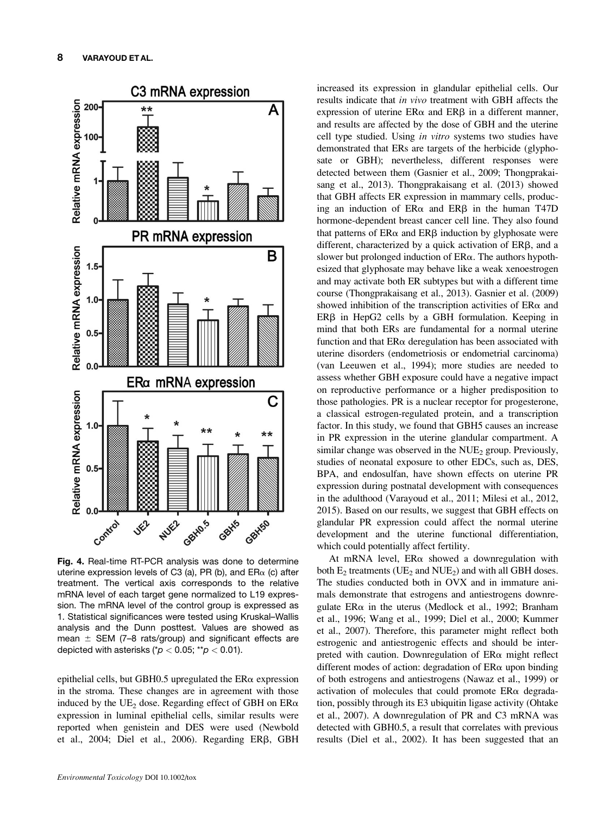

Fig. 4. Real-time RT-PCR analysis was done to determine uterine expression levels of C3 (a), PR (b), and  $ER_{\alpha}$  (c) after treatment. The vertical axis corresponds to the relative mRNA level of each target gene normalized to L19 expression. The mRNA level of the control group is expressed as 1. Statistical significances were tested using Kruskal–Wallis analysis and the Dunn posttest. Values are showed as mean  $\pm$  SEM (7–8 rats/group) and significant effects are depicted with asterisks ( $p < 0.05$ ; \*\* $p < 0.01$ ).

epithelial cells, but GBH0.5 upregulated the  $ER\alpha$  expression in the stroma. These changes are in agreement with those induced by the UE<sub>2</sub> dose. Regarding effect of GBH on  $ER\alpha$ expression in luminal epithelial cells, similar results were reported when genistein and DES were used (Newbold et al., 2004; Diel et al., 2006). Regarding ERB, GBH increased its expression in glandular epithelial cells. Our results indicate that in vivo treatment with GBH affects the expression of uterine  $ER\alpha$  and  $ER\beta$  in a different manner, and results are affected by the dose of GBH and the uterine cell type studied. Using in vitro systems two studies have demonstrated that ERs are targets of the herbicide (glyphosate or GBH); nevertheless, different responses were detected between them (Gasnier et al., 2009; Thongprakaisang et al., 2013). Thongprakaisang et al. (2013) showed that GBH affects ER expression in mammary cells, producing an induction of  $ER\alpha$  and  $ER\beta$  in the human T47D hormone-dependent breast cancer cell line. They also found that patterns of  $ER\alpha$  and  $ER\beta$  induction by glyphosate were different, characterized by a quick activation of  $ER\beta$ , and a slower but prolonged induction of  $ER\alpha$ . The authors hypothesized that glyphosate may behave like a weak xenoestrogen and may activate both ER subtypes but with a different time course (Thongprakaisang et al., 2013). Gasnier et al. (2009) showed inhibition of the transcription activities of  $ER\alpha$  and  $ER\beta$  in HepG2 cells by a GBH formulation. Keeping in mind that both ERs are fundamental for a normal uterine function and that  $ER\alpha$  deregulation has been associated with uterine disorders (endometriosis or endometrial carcinoma) (van Leeuwen et al., 1994); more studies are needed to assess whether GBH exposure could have a negative impact on reproductive performance or a higher predisposition to those pathologies. PR is a nuclear receptor for progesterone, a classical estrogen-regulated protein, and a transcription factor. In this study, we found that GBH5 causes an increase in PR expression in the uterine glandular compartment. A similar change was observed in the  $NUE<sub>2</sub>$  group. Previously, studies of neonatal exposure to other EDCs, such as, DES, BPA, and endosulfan, have shown effects on uterine PR expression during postnatal development with consequences in the adulthood (Varayoud et al., 2011; Milesi et al., 2012, 2015). Based on our results, we suggest that GBH effects on glandular PR expression could affect the normal uterine development and the uterine functional differentiation, which could potentially affect fertility.

At mRNA level,  $ER\alpha$  showed a downregulation with both  $E_2$  treatments (UE<sub>2</sub> and NUE<sub>2</sub>) and with all GBH doses. The studies conducted both in OVX and in immature animals demonstrate that estrogens and antiestrogens downregulate  $ER\alpha$  in the uterus (Medlock et al., 1992; Branham et al., 1996; Wang et al., 1999; Diel et al., 2000; Kummer et al., 2007). Therefore, this parameter might reflect both estrogenic and antiestrogenic effects and should be interpreted with caution. Downregulation of  $ER\alpha$  might reflect different modes of action: degradation of  $ER\alpha$  upon binding of both estrogens and antiestrogens (Nawaz et al., 1999) or activation of molecules that could promote  $ER\alpha$  degradation, possibly through its E3 ubiquitin ligase activity (Ohtake et al., 2007). A downregulation of PR and C3 mRNA was detected with GBH0.5, a result that correlates with previous results (Diel et al., 2002). It has been suggested that an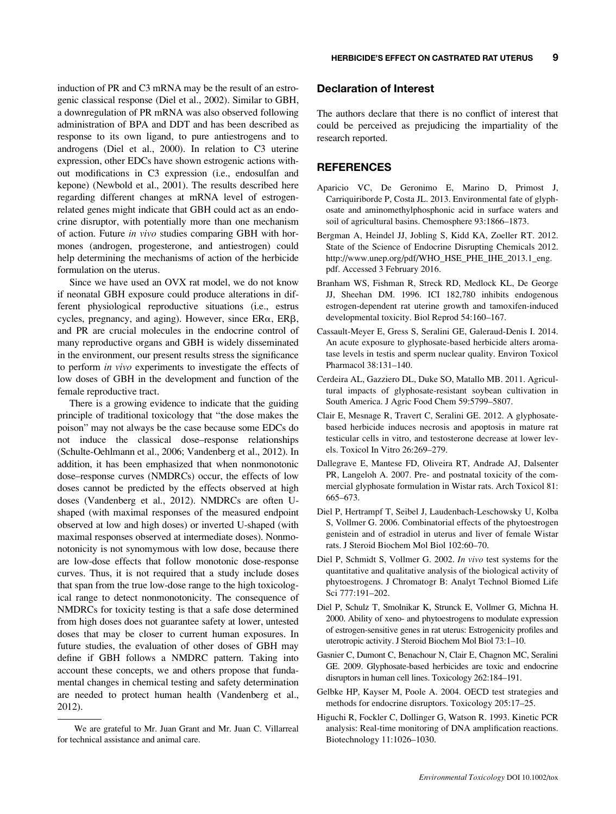induction of PR and C3 mRNA may be the result of an estrogenic classical response (Diel et al., 2002). Similar to GBH, a downregulation of PR mRNA was also observed following administration of BPA and DDT and has been described as response to its own ligand, to pure antiestrogens and to androgens (Diel et al., 2000). In relation to C3 uterine expression, other EDCs have shown estrogenic actions without modifications in C3 expression (i.e., endosulfan and kepone) (Newbold et al., 2001). The results described here regarding different changes at mRNA level of estrogenrelated genes might indicate that GBH could act as an endocrine disruptor, with potentially more than one mechanism of action. Future in vivo studies comparing GBH with hormones (androgen, progesterone, and antiestrogen) could help determining the mechanisms of action of the herbicide formulation on the uterus.

Since we have used an OVX rat model, we do not know if neonatal GBH exposure could produce alterations in different physiological reproductive situations (i.e., estrus cycles, pregnancy, and aging). However, since  $ER\alpha$ ,  $ER\beta$ , and PR are crucial molecules in the endocrine control of many reproductive organs and GBH is widely disseminated in the environment, our present results stress the significance to perform in vivo experiments to investigate the effects of low doses of GBH in the development and function of the female reproductive tract.

There is a growing evidence to indicate that the guiding principle of traditional toxicology that "the dose makes the poison" may not always be the case because some EDCs do not induce the classical dose–response relationships (Schulte-Oehlmann et al., 2006; Vandenberg et al., 2012). In addition, it has been emphasized that when nonmonotonic dose–response curves (NMDRCs) occur, the effects of low doses cannot be predicted by the effects observed at high doses (Vandenberg et al., 2012). NMDRCs are often Ushaped (with maximal responses of the measured endpoint observed at low and high doses) or inverted U-shaped (with maximal responses observed at intermediate doses). Nonmonotonicity is not synomymous with low dose, because there are low-dose effects that follow monotonic dose-response curves. Thus, it is not required that a study include doses that span from the true low-dose range to the high toxicological range to detect nonmonotonicity. The consequence of NMDRCs for toxicity testing is that a safe dose determined from high doses does not guarantee safety at lower, untested doses that may be closer to current human exposures. In future studies, the evaluation of other doses of GBH may define if GBH follows a NMDRC pattern. Taking into account these concepts, we and others propose that fundamental changes in chemical testing and safety determination are needed to protect human health (Vandenberg et al., 2012).

#### Declaration of Interest

The authors declare that there is no conflict of interest that could be perceived as prejudicing the impartiality of the research reported.

### **REFERENCES**

- Aparicio VC, De Geronimo E, Marino D, Primost J, Carriquiriborde P, Costa JL. 2013. Environmental fate of glyphosate and aminomethylphosphonic acid in surface waters and soil of agricultural basins. Chemosphere 93:1866–1873.
- Bergman A, Heindel JJ, Jobling S, Kidd KA, Zoeller RT. 2012. State of the Science of Endocrine Disrupting Chemicals 2012. [http://www.unep.org/pdf/WHO\\_HSE\\_PHE\\_IHE\\_2013.1\\_eng.](http://www.unep.org/pdf/WHO_HSE_PHE_IHE_2013.1_eng.pdf) [pdf.](http://www.unep.org/pdf/WHO_HSE_PHE_IHE_2013.1_eng.pdf) Accessed 3 February 2016.
- Branham WS, Fishman R, Streck RD, Medlock KL, De George JJ, Sheehan DM. 1996. ICI 182,780 inhibits endogenous estrogen-dependent rat uterine growth and tamoxifen-induced developmental toxicity. Biol Reprod 54:160–167.
- Cassault-Meyer E, Gress S, Seralini GE, Galeraud-Denis I. 2014. An acute exposure to glyphosate-based herbicide alters aromatase levels in testis and sperm nuclear quality. Environ Toxicol Pharmacol 38:131–140.
- Cerdeira AL, Gazziero DL, Duke SO, Matallo MB. 2011. Agricultural impacts of glyphosate-resistant soybean cultivation in South America. J Agric Food Chem 59:5799–5807.
- Clair E, Mesnage R, Travert C, Seralini GE. 2012. A glyphosatebased herbicide induces necrosis and apoptosis in mature rat testicular cells in vitro, and testosterone decrease at lower levels. Toxicol In Vitro 26:269–279.
- Dallegrave E, Mantese FD, Oliveira RT, Andrade AJ, Dalsenter PR, Langeloh A. 2007. Pre- and postnatal toxicity of the commercial glyphosate formulation in Wistar rats. Arch Toxicol 81: 665–673.
- Diel P, Hertrampf T, Seibel J, Laudenbach-Leschowsky U, Kolba S, Vollmer G. 2006. Combinatorial effects of the phytoestrogen genistein and of estradiol in uterus and liver of female Wistar rats. J Steroid Biochem Mol Biol 102:60–70.
- Diel P, Schmidt S, Vollmer G. 2002. In vivo test systems for the quantitative and qualitative analysis of the biological activity of phytoestrogens. J Chromatogr B: Analyt Technol Biomed Life Sci 777:191–202.
- Diel P, Schulz T, Smolnikar K, Strunck E, Vollmer G, Michna H. 2000. Ability of xeno- and phytoestrogens to modulate expression of estrogen-sensitive genes in rat uterus: Estrogenicity profiles and uterotropic activity. J Steroid Biochem Mol Biol 73:1–10.
- Gasnier C, Dumont C, Benachour N, Clair E, Chagnon MC, Seralini GE. 2009. Glyphosate-based herbicides are toxic and endocrine disruptors in human cell lines. Toxicology 262:184–191.
- Gelbke HP, Kayser M, Poole A. 2004. OECD test strategies and methods for endocrine disruptors. Toxicology 205:17–25.
- Higuchi R, Fockler C, Dollinger G, Watson R. 1993. Kinetic PCR analysis: Real-time monitoring of DNA amplification reactions. Biotechnology 11:1026–1030.

We are grateful to Mr. Juan Grant and Mr. Juan C. Villarreal for technical assistance and animal care.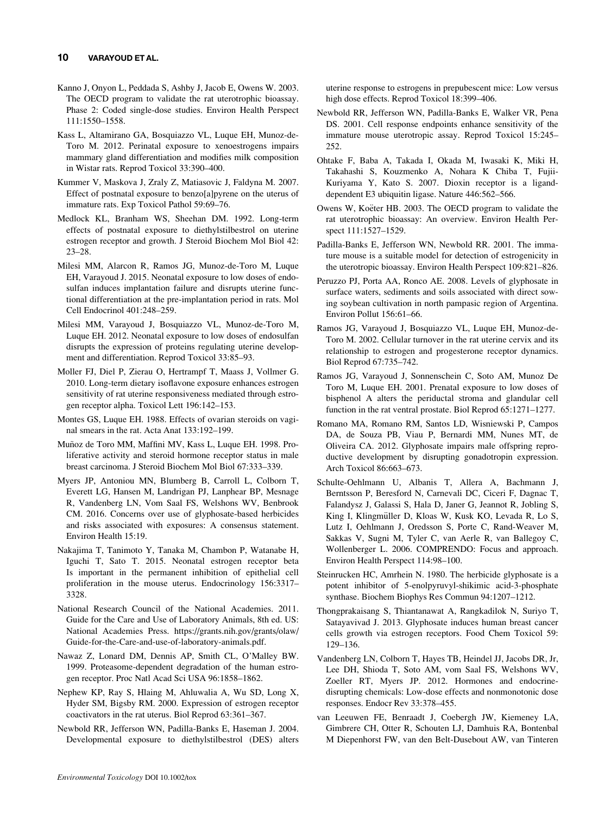#### 10 VARAYOUD ET AL.

- Kanno J, Onyon L, Peddada S, Ashby J, Jacob E, Owens W. 2003. The OECD program to validate the rat uterotrophic bioassay. Phase 2: Coded single-dose studies. Environ Health Perspect 111:1550–1558.
- Kass L, Altamirano GA, Bosquiazzo VL, Luque EH, Munoz-de-Toro M. 2012. Perinatal exposure to xenoestrogens impairs mammary gland differentiation and modifies milk composition in Wistar rats. Reprod Toxicol 33:390–400.
- Kummer V, Maskova J, Zraly Z, Matiasovic J, Faldyna M. 2007. Effect of postnatal exposure to benzo[a]pyrene on the uterus of immature rats. Exp Toxicol Pathol 59:69–76.
- Medlock KL, Branham WS, Sheehan DM. 1992. Long-term effects of postnatal exposure to diethylstilbestrol on uterine estrogen receptor and growth. J Steroid Biochem Mol Biol 42: 23–28.
- Milesi MM, Alarcon R, Ramos JG, Munoz-de-Toro M, Luque EH, Varayoud J. 2015. Neonatal exposure to low doses of endosulfan induces implantation failure and disrupts uterine functional differentiation at the pre-implantation period in rats. Mol Cell Endocrinol 401:248–259.
- Milesi MM, Varayoud J, Bosquiazzo VL, Munoz-de-Toro M, Luque EH. 2012. Neonatal exposure to low doses of endosulfan disrupts the expression of proteins regulating uterine development and differentiation. Reprod Toxicol 33:85–93.
- Moller FJ, Diel P, Zierau O, Hertrampf T, Maass J, Vollmer G. 2010. Long-term dietary isoflavone exposure enhances estrogen sensitivity of rat uterine responsiveness mediated through estrogen receptor alpha. Toxicol Lett 196:142–153.
- Montes GS, Luque EH. 1988. Effects of ovarian steroids on vaginal smears in the rat. Acta Anat 133:192–199.
- Muñoz de Toro MM, Maffini MV, Kass L, Luque EH. 1998. Proliferative activity and steroid hormone receptor status in male breast carcinoma. J Steroid Biochem Mol Biol 67:333–339.
- Myers JP, Antoniou MN, Blumberg B, Carroll L, Colborn T, Everett LG, Hansen M, Landrigan PJ, Lanphear BP, Mesnage R, Vandenberg LN, Vom Saal FS, Welshons WV, Benbrook CM. 2016. Concerns over use of glyphosate-based herbicides and risks associated with exposures: A consensus statement. Environ Health 15:19.
- Nakajima T, Tanimoto Y, Tanaka M, Chambon P, Watanabe H, Iguchi T, Sato T. 2015. Neonatal estrogen receptor beta Is important in the permanent inhibition of epithelial cell proliferation in the mouse uterus. Endocrinology 156:3317– 3328.
- National Research Council of the National Academies. 2011. Guide for the Care and Use of Laboratory Animals, 8th ed. US: National Academies Press[. https://grants.nih.gov/grants/olaw/](http:// https://grants.nih.gov/grants/olaw/Guide-for-the-Care-and-use-of-laboratory-animals.pdf) [Guide-for-the-Care-and-use-of-laboratory-animals.pdf](http:// https://grants.nih.gov/grants/olaw/Guide-for-the-Care-and-use-of-laboratory-animals.pdf).
- Nawaz Z, Lonard DM, Dennis AP, Smith CL, O'Malley BW. 1999. Proteasome-dependent degradation of the human estrogen receptor. Proc Natl Acad Sci USA 96:1858–1862.
- Nephew KP, Ray S, Hlaing M, Ahluwalia A, Wu SD, Long X, Hyder SM, Bigsby RM. 2000. Expression of estrogen receptor coactivators in the rat uterus. Biol Reprod 63:361–367.
- Newbold RR, Jefferson WN, Padilla-Banks E, Haseman J. 2004. Developmental exposure to diethylstilbestrol (DES) alters

uterine response to estrogens in prepubescent mice: Low versus high dose effects. Reprod Toxicol 18:399–406.

- Newbold RR, Jefferson WN, Padilla-Banks E, Walker VR, Pena DS. 2001. Cell response endpoints enhance sensitivity of the immature mouse uterotropic assay. Reprod Toxicol 15:245– 252.
- Ohtake F, Baba A, Takada I, Okada M, Iwasaki K, Miki H, Takahashi S, Kouzmenko A, Nohara K Chiba T, Fujii-Kuriyama Y, Kato S. 2007. Dioxin receptor is a liganddependent E3 ubiquitin ligase. Nature 446:562–566.
- Owens W, Koëter HB. 2003. The OECD program to validate the rat uterotrophic bioassay: An overview. Environ Health Perspect 111:1527–1529.
- Padilla-Banks E, Jefferson WN, Newbold RR. 2001. The immature mouse is a suitable model for detection of estrogenicity in the uterotropic bioassay. Environ Health Perspect 109:821–826.
- Peruzzo PJ, Porta AA, Ronco AE. 2008. Levels of glyphosate in surface waters, sediments and soils associated with direct sowing soybean cultivation in north pampasic region of Argentina. Environ Pollut 156:61–66.
- Ramos JG, Varayoud J, Bosquiazzo VL, Luque EH, Munoz-de-Toro M. 2002. Cellular turnover in the rat uterine cervix and its relationship to estrogen and progesterone receptor dynamics. Biol Reprod 67:735–742.
- Ramos JG, Varayoud J, Sonnenschein C, Soto AM, Munoz De Toro M, Luque EH. 2001. Prenatal exposure to low doses of bisphenol A alters the periductal stroma and glandular cell function in the rat ventral prostate. Biol Reprod 65:1271–1277.
- Romano MA, Romano RM, Santos LD, Wisniewski P, Campos DA, de Souza PB, Viau P, Bernardi MM, Nunes MT, de Oliveira CA. 2012. Glyphosate impairs male offspring reproductive development by disrupting gonadotropin expression. Arch Toxicol 86:663–673.
- Schulte-Oehlmann U, Albanis T, Allera A, Bachmann J, Berntsson P, Beresford N, Carnevali DC, Ciceri F, Dagnac T, Falandysz J, Galassi S, Hala D, Janer G, Jeannot R, Jobling S, King I, Klingmüller D, Kloas W, Kusk KO, Levada R, Lo S, Lutz I, Oehlmann J, Oredsson S, Porte C, Rand-Weaver M, Sakkas V, Sugni M, Tyler C, van Aerle R, van Ballegoy C, Wollenberger L. 2006. COMPRENDO: Focus and approach. Environ Health Perspect 114:98–100.
- Steinrucken HC, Amrhein N. 1980. The herbicide glyphosate is a potent inhibitor of 5-enolpyruvyl-shikimic acid-3-phosphate synthase. Biochem Biophys Res Commun 94:1207–1212.
- Thongprakaisang S, Thiantanawat A, Rangkadilok N, Suriyo T, Satayavivad J. 2013. Glyphosate induces human breast cancer cells growth via estrogen receptors. Food Chem Toxicol 59: 129–136.
- Vandenberg LN, Colborn T, Hayes TB, Heindel JJ, Jacobs DR, Jr, Lee DH, Shioda T, Soto AM, vom Saal FS, Welshons WV, Zoeller RT, Myers JP. 2012. Hormones and endocrinedisrupting chemicals: Low-dose effects and nonmonotonic dose responses. Endocr Rev 33:378–455.
- van Leeuwen FE, Benraadt J, Coebergh JW, Kiemeney LA, Gimbrere CH, Otter R, Schouten LJ, Damhuis RA, Bontenbal M Diepenhorst FW, van den Belt-Dusebout AW, van Tinteren